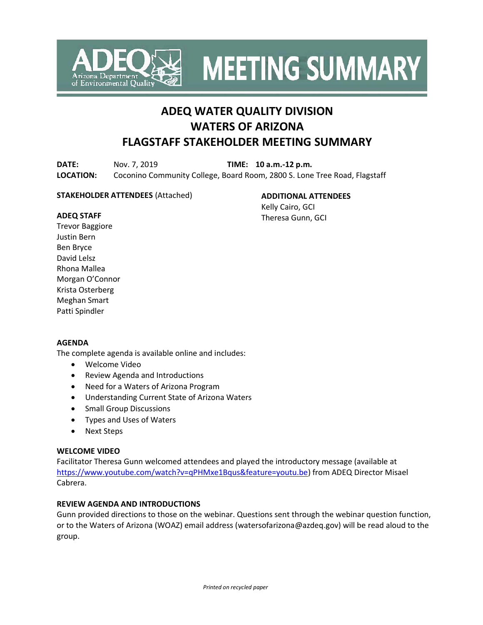

**MEETING SUMMARY** 

# **ADEQ WATER QUALITY DIVISION WATERS OF ARIZONA FLAGSTAFF STAKEHOLDER MEETING SUMMARY**

**DATE:** Nov. 7, 2019 **TIME: 10 a.m.-12 p.m. LOCATION:** Coconino Community College, Board Room, 2800 S. Lone Tree Road, Flagstaff

# **STAKEHOLDER ATTENDEES** (Attached)

**ADDITIONAL ATTENDEES** Kelly Cairo, GCI Theresa Gunn, GCI

#### **ADEQ STAFF**

Trevor Baggiore Justin Bern Ben Bryce David Lelsz Rhona Mallea Morgan O'Connor Krista Osterberg Meghan Smart Patti Spindler

# **AGENDA**

The complete agenda is available online and includes:

- Welcome Video
- Review Agenda and Introductions
- Need for a Waters of Arizona Program
- Understanding Current State of Arizona Waters
- Small Group Discussions
- Types and Uses of Waters
- Next Steps

# **WELCOME VIDEO**

Facilitator Theresa Gunn welcomed attendees and played the introductory message (available at [https://www.youtube.com/watch?v=qPHMxe1Bqus&feature=youtu.be\)](https://www.youtube.com/watch?v=qPHMxe1Bqus&feature=youtu.be) from ADEQ Director Misael Cabrera.

# **REVIEW AGENDA AND INTRODUCTIONS**

Gunn provided directions to those on the webinar. Questions sent through the webinar question function, or to the Waters of Arizona (WOAZ) email address (watersofarizona@azdeq.gov) will be read aloud to the group.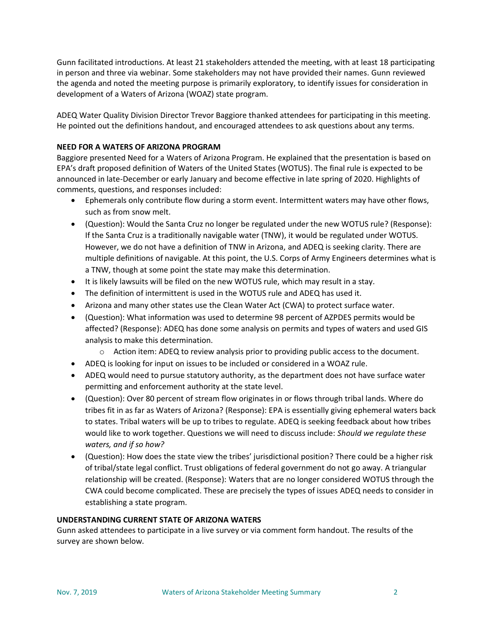Gunn facilitated introductions. At least 21 stakeholders attended the meeting, with at least 18 participating in person and three via webinar. Some stakeholders may not have provided their names. Gunn reviewed the agenda and noted the meeting purpose is primarily exploratory, to identify issues for consideration in development of a Waters of Arizona (WOAZ) state program.

ADEQ Water Quality Division Director Trevor Baggiore thanked attendees for participating in this meeting. He pointed out the definitions handout, and encouraged attendees to ask questions about any terms.

# **NEED FOR A WATERS OF ARIZONA PROGRAM**

Baggiore presented Need for a Waters of Arizona Program. He explained that the presentation is based on EPA's draft proposed definition of Waters of the United States (WOTUS). The final rule is expected to be announced in late-December or early January and become effective in late spring of 2020. Highlights of comments, questions, and responses included:

- Ephemerals only contribute flow during a storm event. Intermittent waters may have other flows, such as from snow melt.
- (Question): Would the Santa Cruz no longer be regulated under the new WOTUS rule? (Response): If the Santa Cruz is a traditionally navigable water (TNW), it would be regulated under WOTUS. However, we do not have a definition of TNW in Arizona, and ADEQ is seeking clarity. There are multiple definitions of navigable. At this point, the U.S. Corps of Army Engineers determines what is a TNW, though at some point the state may make this determination.
- It is likely lawsuits will be filed on the new WOTUS rule, which may result in a stay.
- The definition of intermittent is used in the WOTUS rule and ADEQ has used it.
- Arizona and many other states use the Clean Water Act (CWA) to protect surface water.
- (Question): What information was used to determine 98 percent of AZPDES permits would be affected? (Response): ADEQ has done some analysis on permits and types of waters and used GIS analysis to make this determination.
	- $\circ$  Action item: ADEQ to review analysis prior to providing public access to the document.
- ADEQ is looking for input on issues to be included or considered in a WOAZ rule.
- ADEQ would need to pursue statutory authority, as the department does not have surface water permitting and enforcement authority at the state level.
- (Question): Over 80 percent of stream flow originates in or flows through tribal lands. Where do tribes fit in as far as Waters of Arizona? (Response): EPA is essentially giving ephemeral waters back to states. Tribal waters will be up to tribes to regulate. ADEQ is seeking feedback about how tribes would like to work together. Questions we will need to discuss include: *Should we regulate these waters, and if so how?*
- (Question): How does the state view the tribes' jurisdictional position? There could be a higher risk of tribal/state legal conflict. Trust obligations of federal government do not go away. A triangular relationship will be created. (Response): Waters that are no longer considered WOTUS through the CWA could become complicated. These are precisely the types of issues ADEQ needs to consider in establishing a state program.

# **UNDERSTANDING CURRENT STATE OF ARIZONA WATERS**

Gunn asked attendees to participate in a live survey or via comment form handout. The results of the survey are shown below.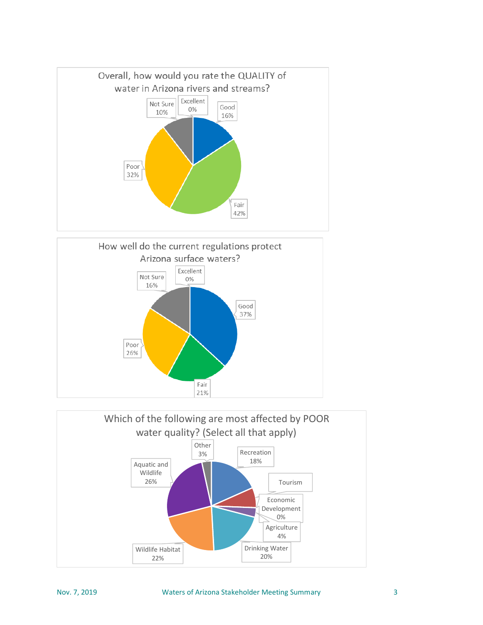



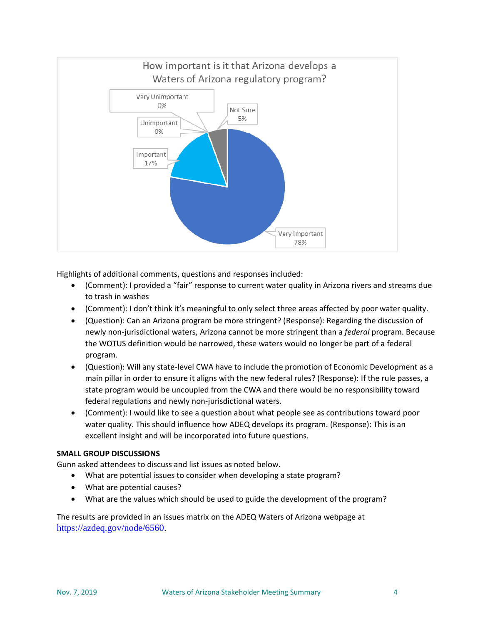

Highlights of additional comments, questions and responses included:

- (Comment): I provided a "fair" response to current water quality in Arizona rivers and streams due to trash in washes
- (Comment): I don't think it's meaningful to only select three areas affected by poor water quality.
- (Question): Can an Arizona program be more stringent? (Response): Regarding the discussion of newly non-jurisdictional waters, Arizona cannot be more stringent than a *federal* program. Because the WOTUS definition would be narrowed, these waters would no longer be part of a federal program.
- (Question): Will any state-level CWA have to include the promotion of Economic Development as a main pillar in order to ensure it aligns with the new federal rules? (Response): If the rule passes, a state program would be uncoupled from the CWA and there would be no responsibility toward federal regulations and newly non-jurisdictional waters.
- (Comment): I would like to see a question about what people see as contributions toward poor water quality. This should influence how ADEQ develops its program. (Response): This is an excellent insight and will be incorporated into future questions.

# **SMALL GROUP DISCUSSIONS**

Gunn asked attendees to discuss and list issues as noted below.

- What are potential issues to consider when developing a state program?
- What are potential causes?
- What are the values which should be used to guide the development of the program?

The results are provided in an issues matrix on the ADEQ Waters of Arizona webpage at [https://azdeq.gov/node/6560.](https://azdeq.gov/node/6560)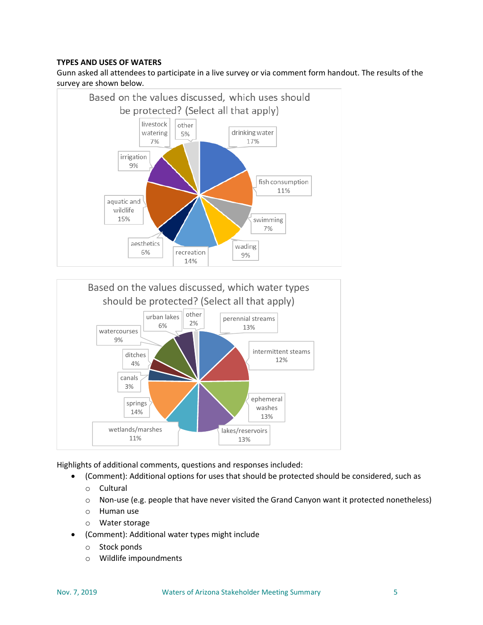# **TYPES AND USES OF WATERS**

Gunn asked all attendees to participate in a live survey or via comment form handout. The results of the survey are shown below.





Highlights of additional comments, questions and responses included:

- (Comment): Additional options for uses that should be protected should be considered, such as
	- o Cultural
	- o Non-use (e.g. people that have never visited the Grand Canyon want it protected nonetheless)
	- o Human use
	- o Water storage
- (Comment): Additional water types might include
	- o Stock ponds
	- o Wildlife impoundments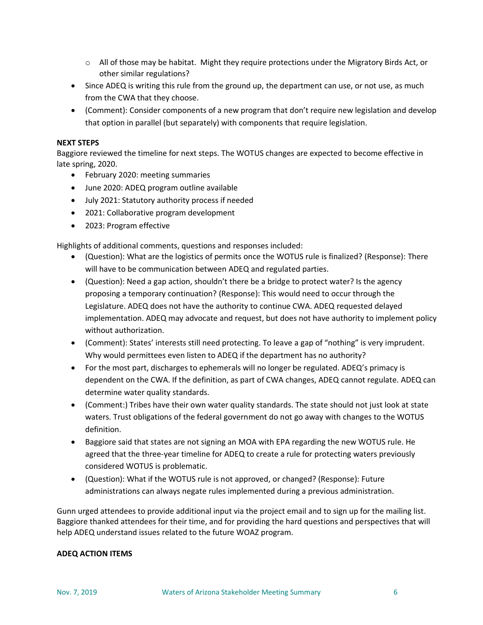- $\circ$  All of those may be habitat. Might they require protections under the Migratory Birds Act, or other similar regulations?
- Since ADEQ is writing this rule from the ground up, the department can use, or not use, as much from the CWA that they choose.
- (Comment): Consider components of a new program that don't require new legislation and develop that option in parallel (but separately) with components that require legislation.

# **NEXT STEPS**

Baggiore reviewed the timeline for next steps. The WOTUS changes are expected to become effective in late spring, 2020.

- February 2020: meeting summaries
- June 2020: ADEQ program outline available
- July 2021: Statutory authority process if needed
- 2021: Collaborative program development
- 2023: Program effective

Highlights of additional comments, questions and responses included:

- (Question): What are the logistics of permits once the WOTUS rule is finalized? (Response): There will have to be communication between ADEQ and regulated parties.
- (Question): Need a gap action, shouldn't there be a bridge to protect water? Is the agency proposing a temporary continuation? (Response): This would need to occur through the Legislature. ADEQ does not have the authority to continue CWA. ADEQ requested delayed implementation. ADEQ may advocate and request, but does not have authority to implement policy without authorization.
- (Comment): States' interests still need protecting. To leave a gap of "nothing" is very imprudent. Why would permittees even listen to ADEQ if the department has no authority?
- For the most part, discharges to ephemerals will no longer be regulated. ADEQ's primacy is dependent on the CWA. If the definition, as part of CWA changes, ADEQ cannot regulate. ADEQ can determine water quality standards.
- (Comment:) Tribes have their own water quality standards. The state should not just look at state waters. Trust obligations of the federal government do not go away with changes to the WOTUS definition.
- Baggiore said that states are not signing an MOA with EPA regarding the new WOTUS rule. He agreed that the three-year timeline for ADEQ to create a rule for protecting waters previously considered WOTUS is problematic.
- (Question): What if the WOTUS rule is not approved, or changed? (Response): Future administrations can always negate rules implemented during a previous administration.

Gunn urged attendees to provide additional input via the project email and to sign up for the mailing list. Baggiore thanked attendees for their time, and for providing the hard questions and perspectives that will help ADEQ understand issues related to the future WOAZ program.

#### **ADEQ ACTION ITEMS**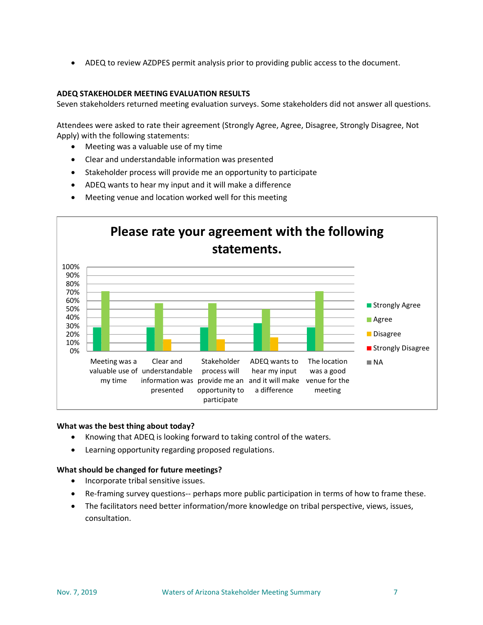• ADEQ to review AZDPES permit analysis prior to providing public access to the document.

#### **ADEQ STAKEHOLDER MEETING EVALUATION RESULTS**

Seven stakeholders returned meeting evaluation surveys. Some stakeholders did not answer all questions.

Attendees were asked to rate their agreement (Strongly Agree, Agree, Disagree, Strongly Disagree, Not Apply) with the following statements:

- Meeting was a valuable use of my time
- Clear and understandable information was presented
- Stakeholder process will provide me an opportunity to participate
- ADEQ wants to hear my input and it will make a difference
- Meeting venue and location worked well for this meeting



#### **What was the best thing about today?**

- Knowing that ADEQ is looking forward to taking control of the waters.
- Learning opportunity regarding proposed regulations.

#### **What should be changed for future meetings?**

- Incorporate tribal sensitive issues.
- Re-framing survey questions-- perhaps more public participation in terms of how to frame these.
- The facilitators need better information/more knowledge on tribal perspective, views, issues, consultation.